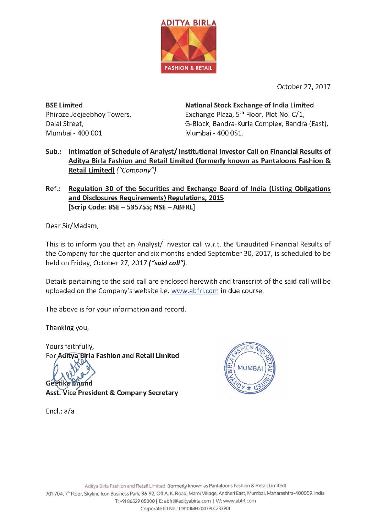

October 27, 2017

**BSE Limited** Phiroze Jeejeebhoy Towers, Dalal Street, Mumbai - 400 001

**National Stock Exchange of India Limited** Exchange Plaza, 5<sup>th</sup> Floor, Plot No. C/1, G-Block, Bandra-Kurla Complex, Bandra (East), Mumbai - 400 051.

- Sub.: Intimation of Schedule of Analyst/Institutional Investor Call on Financial Results of Aditya Birla Fashion and Retail Limited (formerly known as Pantaloons Fashion & Retail Limited) ("Company")
- Ref.: Regulation 30 of the Securities and Exchange Board of India (Listing Obligations and Disclosures Requirements) Regulations, 2015 [Scrip Code: BSE - 535755; NSE - ABFRL]

Dear Sir/Madam,

This is to inform you that an Analyst/Investor call w.r.t. the Unaudited Financial Results of the Company for the quarter and six months ended September 30, 2017, is scheduled to be held on Friday, October 27, 2017 ("said call").

Details pertaining to the said call are enclosed herewith and transcript of the said call will be uploaded on the Company's website i.e. www.abfrl.com in due course.

The above is for your information and record.

Thanking you,

Yours faithfully, For Aditya Birla Fashion and Retail Limited

**Asst. Vice President & Company Secretary** 

**JMR** 

Encl.:  $a/a$